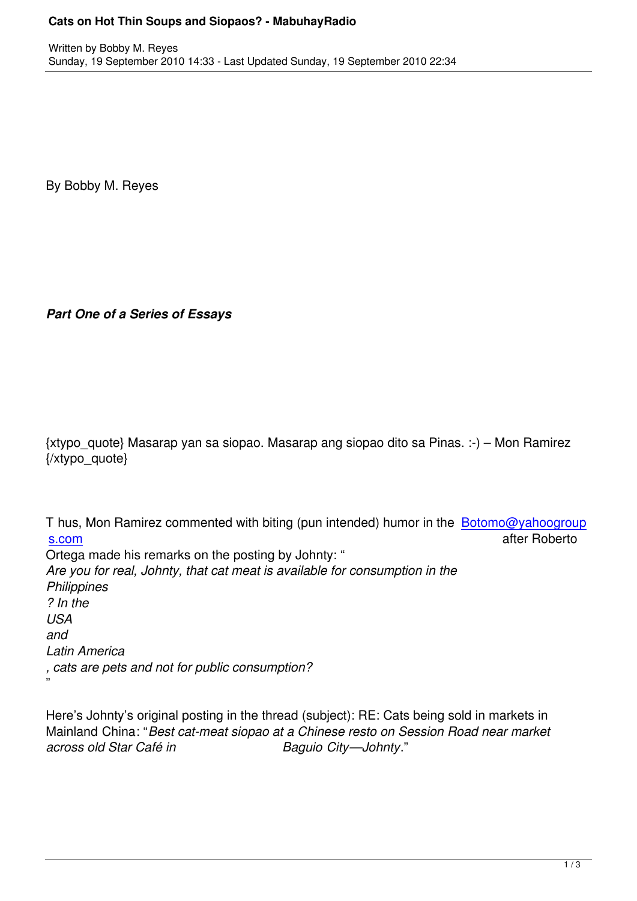By Bobby M. Reyes

*Part One of a Series of Essays*

{xtypo\_quote} Masarap yan sa siopao. Masarap ang siopao dito sa Pinas. :-) – Mon Ramirez {/xtypo\_quote}

T hus, Mon Ramirez commented with biting (pun intended) humor in the **Botomo@yahoogroup** s.com after Roberto Ortega made his remarks on the posting by Johnty: " *Are you for real, Johnty, that cat meat is available for consumption in the [Philipp](mailto:Botomo@yahoogroups.com)ines ? In the USA and Latin America*

*, cats are pets and not for public consumption?*

"

Here's Johnty's original posting in the thread (subject): RE: Cats being sold in markets in Mainland China: "*Best cat-meat siopao at a Chinese resto on Session Road near market across old Star Café in Baguio City—Johnty*."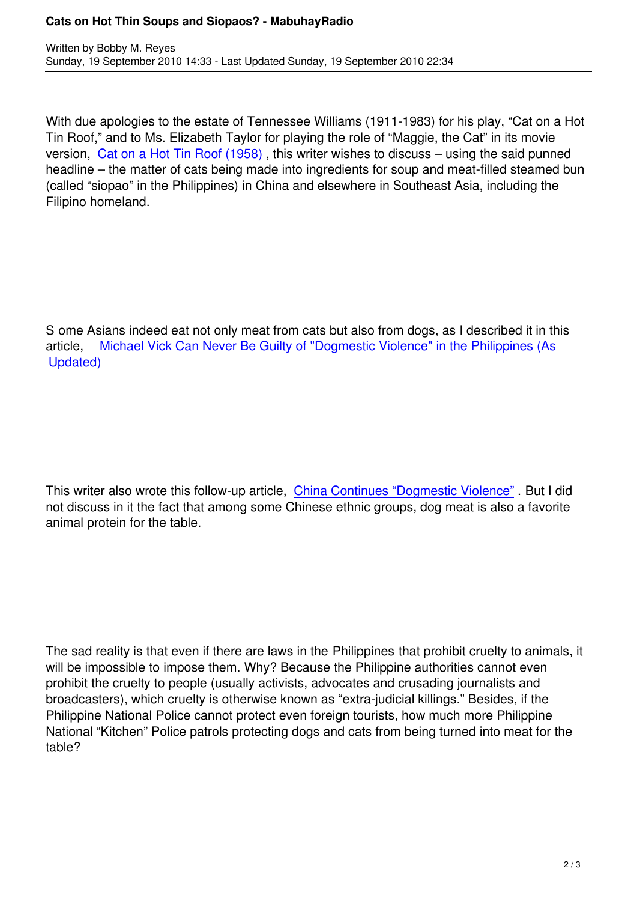With due apologies to the estate of Tennessee Williams (1911-1983) for his play, "Cat on a Hot Tin Roof," and to Ms. Elizabeth Taylor for playing the role of "Maggie, the Cat" in its movie version, Cat on a Hot Tin Roof (1958) , this writer wishes to discuss – using the said punned headline – the matter of cats being made into ingredients for soup and meat-filled steamed bun (called "siopao" in the Philippines) in China and elsewhere in Southeast Asia, including the Filipino h[omeland.](http://www.imdb.com/title/tt0051459/)

S ome Asians indeed eat not only meat from cats but also from dogs, as I described it in this article, Michael Vick Can Never Be Guilty of "Dogmestic Violence" in the Philippines (As Updated)

This writer also wrote this follow-up article, China Continues "Dogmestic Violence" . But I did not discuss in it the fact that among some Chinese ethnic groups, dog meat is also a favorite animal protein for the table.

The sad reality is that even if there are laws in the Philippines that prohibit cruelty to animals, it will be impossible to impose them. Why? Because the Philippine authorities cannot even prohibit the cruelty to people (usually activists, advocates and crusading journalists and broadcasters), which cruelty is otherwise known as "extra-judicial killings." Besides, if the Philippine National Police cannot protect even foreign tourists, how much more Philippine National "Kitchen" Police patrols protecting dogs and cats from being turned into meat for the table?